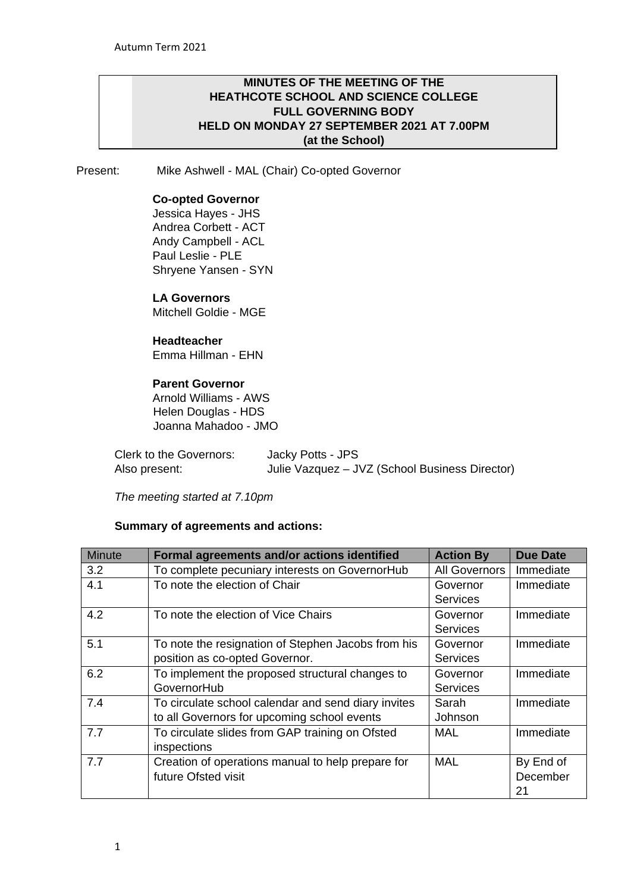# **MINUTES OF THE MEETING OF THE HEATHCOTE SCHOOL AND SCIENCE COLLEGE FULL GOVERNING BODY HELD ON MONDAY 27 SEPTEMBER 2021 AT 7.00PM (at the School)**

Present: Mike Ashwell - MAL (Chair) Co-opted Governor

# **Co-opted Governor**

Jessica Hayes - JHS Andrea Corbett - ACT Andy Campbell - ACL Paul Leslie - PLE Shryene Yansen - SYN

# **LA Governors**

Mitchell Goldie - MGE

## **Headteacher**

Emma Hillman - EHN

# **Parent Governor**

Arnold Williams - AWS Helen Douglas - HDS Joanna Mahadoo - JMO

| Clerk to the Governors: | Jacky Potts - JPS                              |
|-------------------------|------------------------------------------------|
| Also present:           | Julie Vazquez - JVZ (School Business Director) |

*The meeting started at 7.10pm* 

# **Summary of agreements and actions:**

| <b>Minute</b> | Formal agreements and/or actions identified         | <b>Action By</b> | <b>Due Date</b> |
|---------------|-----------------------------------------------------|------------------|-----------------|
| 3.2           | To complete pecuniary interests on GovernorHub      | All Governors    | Immediate       |
| 4.1           | To note the election of Chair                       | Governor         | Immediate       |
|               |                                                     | <b>Services</b>  |                 |
| 4.2           | To note the election of Vice Chairs                 | Governor         | Immediate       |
|               |                                                     | <b>Services</b>  |                 |
| 5.1           | To note the resignation of Stephen Jacobs from his  | Governor         | Immediate       |
|               | position as co-opted Governor.                      | <b>Services</b>  |                 |
| 6.2           | To implement the proposed structural changes to     | Governor         | Immediate       |
|               | GovernorHub                                         | <b>Services</b>  |                 |
| 7.4           | To circulate school calendar and send diary invites | Sarah            | Immediate       |
|               | to all Governors for upcoming school events         | Johnson          |                 |
| 7.7           | To circulate slides from GAP training on Ofsted     | MAL              | Immediate       |
|               | inspections                                         |                  |                 |
| 7.7           | Creation of operations manual to help prepare for   | <b>MAL</b>       | By End of       |
|               | future Ofsted visit                                 |                  | December        |
|               |                                                     |                  | 21              |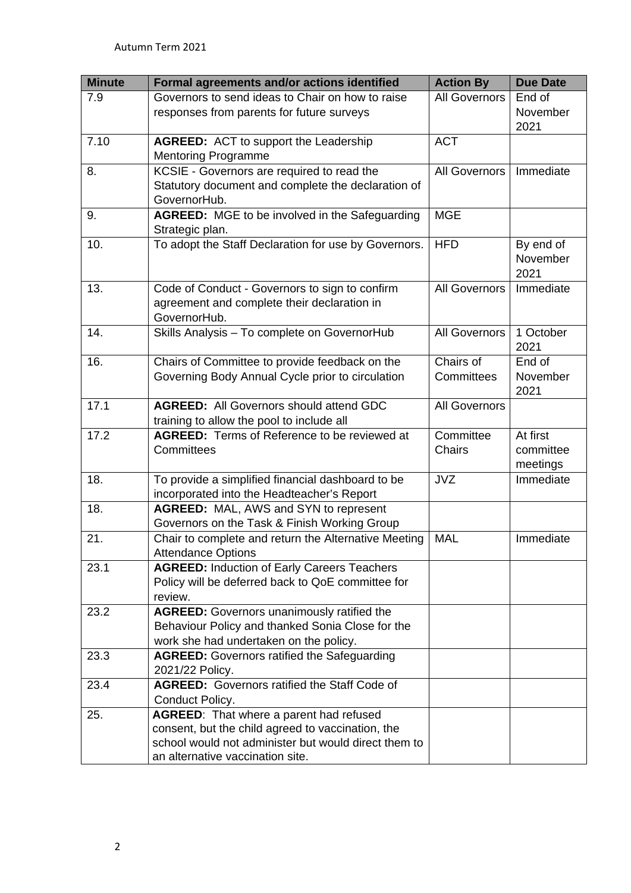| <b>Minute</b> | Formal agreements and/or actions identified           | <b>Action By</b>     | <b>Due Date</b> |
|---------------|-------------------------------------------------------|----------------------|-----------------|
| 7.9           | Governors to send ideas to Chair on how to raise      | <b>All Governors</b> | End of          |
|               | responses from parents for future surveys             |                      | November        |
|               |                                                       |                      | 2021            |
| 7.10          | <b>AGREED:</b> ACT to support the Leadership          | <b>ACT</b>           |                 |
|               | <b>Mentoring Programme</b>                            |                      |                 |
| 8.            | KCSIE - Governors are required to read the            | <b>All Governors</b> | Immediate       |
|               | Statutory document and complete the declaration of    |                      |                 |
|               | GovernorHub.                                          |                      |                 |
| 9.            | <b>AGREED:</b> MGE to be involved in the Safeguarding | <b>MGE</b>           |                 |
|               | Strategic plan.                                       |                      |                 |
| 10.           | To adopt the Staff Declaration for use by Governors.  | <b>HFD</b>           | By end of       |
|               |                                                       |                      | November        |
|               |                                                       |                      | 2021            |
| 13.           | Code of Conduct - Governors to sign to confirm        | <b>All Governors</b> | Immediate       |
|               | agreement and complete their declaration in           |                      |                 |
|               | GovernorHub.                                          |                      |                 |
| 14.           | Skills Analysis - To complete on GovernorHub          | <b>All Governors</b> | 1 October       |
|               |                                                       |                      | 2021            |
| 16.           | Chairs of Committee to provide feedback on the        | Chairs of            | End of          |
|               | Governing Body Annual Cycle prior to circulation      | Committees           | November        |
|               |                                                       |                      | 2021            |
| 17.1          | <b>AGREED:</b> All Governors should attend GDC        | <b>All Governors</b> |                 |
|               | training to allow the pool to include all             |                      |                 |
| 17.2          | <b>AGREED:</b> Terms of Reference to be reviewed at   | Committee            | At first        |
|               | Committees                                            | Chairs               | committee       |
|               |                                                       |                      | meetings        |
| 18.           | To provide a simplified financial dashboard to be     | <b>JVZ</b>           | Immediate       |
|               | incorporated into the Headteacher's Report            |                      |                 |
| 18.           | AGREED: MAL, AWS and SYN to represent                 |                      |                 |
|               | Governors on the Task & Finish Working Group          |                      |                 |
| 21.           | Chair to complete and return the Alternative Meeting  | <b>MAL</b>           | Immediate       |
|               | <b>Attendance Options</b>                             |                      |                 |
| 23.1          | <b>AGREED: Induction of Early Careers Teachers</b>    |                      |                 |
|               | Policy will be deferred back to QoE committee for     |                      |                 |
|               | review.                                               |                      |                 |
| 23.2          | <b>AGREED:</b> Governors unanimously ratified the     |                      |                 |
|               | Behaviour Policy and thanked Sonia Close for the      |                      |                 |
|               | work she had undertaken on the policy.                |                      |                 |
| 23.3          | <b>AGREED:</b> Governors ratified the Safeguarding    |                      |                 |
|               | 2021/22 Policy.                                       |                      |                 |
| 23.4          | <b>AGREED:</b> Governors ratified the Staff Code of   |                      |                 |
|               | Conduct Policy.                                       |                      |                 |
| 25.           | AGREED: That where a parent had refused               |                      |                 |
|               | consent, but the child agreed to vaccination, the     |                      |                 |
|               | school would not administer but would direct them to  |                      |                 |
|               | an alternative vaccination site.                      |                      |                 |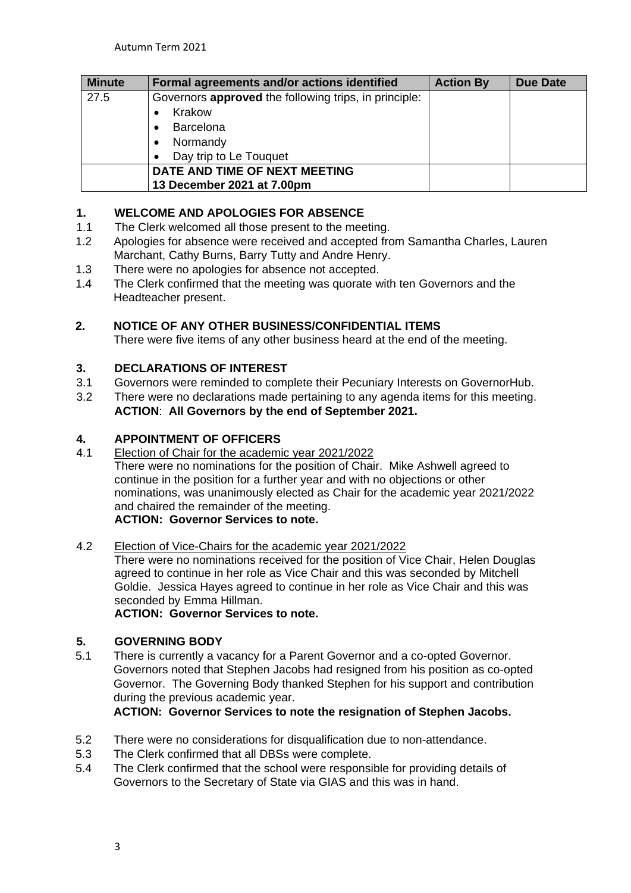| <b>Minute</b> | Formal agreements and/or actions identified                  | <b>Action By</b> | <b>Due Date</b> |
|---------------|--------------------------------------------------------------|------------------|-----------------|
| 27.5          | Governors <b>approved</b> the following trips, in principle: |                  |                 |
|               | Krakow                                                       |                  |                 |
|               | <b>Barcelona</b>                                             |                  |                 |
|               | Normandy<br>$\bullet$                                        |                  |                 |
|               | Day trip to Le Touquet<br>$\bullet$                          |                  |                 |
|               | DATE AND TIME OF NEXT MEETING                                |                  |                 |
|               | 13 December 2021 at 7.00pm                                   |                  |                 |

# **1. WELCOME AND APOLOGIES FOR ABSENCE**<br>**1.1** The Clerk welcomed all those present to the mee

- The Clerk welcomed all those present to the meeting.
- 1.2 Apologies for absence were received and accepted from Samantha Charles, Lauren Marchant, Cathy Burns, Barry Tutty and Andre Henry.
- 1.3 There were no apologies for absence not accepted.
- 1.4 The Clerk confirmed that the meeting was quorate with ten Governors and the Headteacher present.

# **2. NOTICE OF ANY OTHER BUSINESS/CONFIDENTIAL ITEMS**

There were five items of any other business heard at the end of the meeting.

# **3. DECLARATIONS OF INTEREST**

- 3.1 Governors were reminded to complete their Pecuniary Interests on GovernorHub.
- 3.2 There were no declarations made pertaining to any agenda items for this meeting. **ACTION**: **All Governors by the end of September 2021.**

# **4. APPOINTMENT OF OFFICERS**

4.1 Election of Chair for the academic year 2021/2022 There were no nominations for the position of Chair. Mike Ashwell agreed to continue in the position for a further year and with no objections or other nominations, was unanimously elected as Chair for the academic year 2021/2022 and chaired the remainder of the meeting. **ACTION: Governor Services to note.**

# 4.2 Election of Vice-Chairs for the academic year 2021/2022

There were no nominations received for the position of Vice Chair, Helen Douglas agreed to continue in her role as Vice Chair and this was seconded by Mitchell Goldie. Jessica Hayes agreed to continue in her role as Vice Chair and this was seconded by Emma Hillman.

**ACTION: Governor Services to note.**

# **5. GOVERNING BODY**

5.1 There is currently a vacancy for a Parent Governor and a co-opted Governor. Governors noted that Stephen Jacobs had resigned from his position as co-opted Governor. The Governing Body thanked Stephen for his support and contribution during the previous academic year.

**ACTION: Governor Services to note the resignation of Stephen Jacobs.**

- 5.2 There were no considerations for disqualification due to non-attendance.
- 5.3 The Clerk confirmed that all DBSs were complete.
- 5.4 The Clerk confirmed that the school were responsible for providing details of Governors to the Secretary of State via GIAS and this was in hand.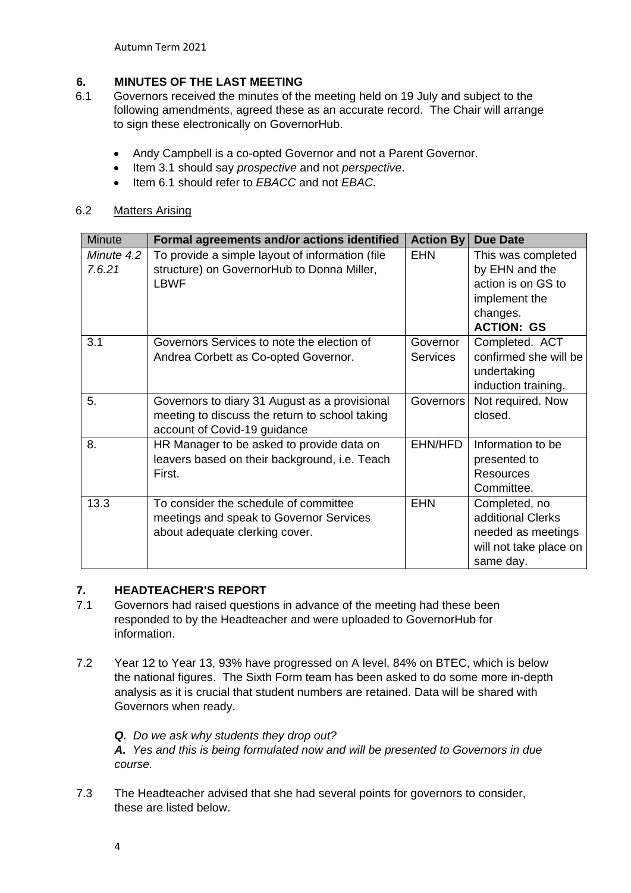Autumn Term 2021

# **6. MINUTES OF THE LAST MEETING**

- 6.1 Governors received the minutes of the meeting held on 19 July and subject to the following amendments, agreed these as an accurate record. The Chair will arrange to sign these electronically on GovernorHub.
	- Andy Campbell is a co-opted Governor and not a Parent Governor.
	- Item 3.1 should say *prospective* and not *perspective*.
	- Item 6.1 should refer to *EBACC* and not *EBAC.*

# 6.2 Matters Arising

| <b>Minute</b> | Formal agreements and/or actions identified     | <b>Action By</b> | <b>Due Date</b>        |
|---------------|-------------------------------------------------|------------------|------------------------|
| Minute 4.2    | To provide a simple layout of information (file | <b>EHN</b>       | This was completed     |
| 7.6.21        | structure) on GovernorHub to Donna Miller,      |                  | by EHN and the         |
|               | <b>LBWF</b>                                     |                  | action is on GS to     |
|               |                                                 |                  | implement the          |
|               |                                                 |                  | changes.               |
|               |                                                 |                  | <b>ACTION: GS</b>      |
| 3.1           | Governors Services to note the election of      | Governor         | Completed. ACT         |
|               | Andrea Corbett as Co-opted Governor.            | <b>Services</b>  | confirmed she will be  |
|               |                                                 |                  | undertaking            |
|               |                                                 |                  | induction training.    |
| 5.            | Governors to diary 31 August as a provisional   | Governors        | Not required. Now      |
|               | meeting to discuss the return to school taking  |                  | closed.                |
|               | account of Covid-19 guidance                    |                  |                        |
| 8.            | HR Manager to be asked to provide data on       | EHN/HFD          | Information to be      |
|               | leavers based on their background, i.e. Teach   |                  | presented to           |
|               | First.                                          |                  | <b>Resources</b>       |
|               |                                                 |                  | Committee.             |
| 13.3          | To consider the schedule of committee           | <b>EHN</b>       | Completed, no          |
|               | meetings and speak to Governor Services         |                  | additional Clerks      |
|               | about adequate clerking cover.                  |                  | needed as meetings     |
|               |                                                 |                  | will not take place on |
|               |                                                 |                  | same day.              |

# **7. HEADTEACHER'S REPORT**

- 7.1 Governors had raised questions in advance of the meeting had these been responded to by the Headteacher and were uploaded to GovernorHub for information.
- 7.2 Year 12 to Year 13, 93% have progressed on A level, 84% on BTEC, which is below the national figures. The Sixth Form team has been asked to do some more in-depth analysis as it is crucial that student numbers are retained. Data will be shared with Governors when ready.
	- *Q. Do we ask why students they drop out?*

*A. Yes and this is being formulated now and will be presented to Governors in due course.*

- 7.3 The Headteacher advised that she had several points for governors to consider, these are listed below.
	- 4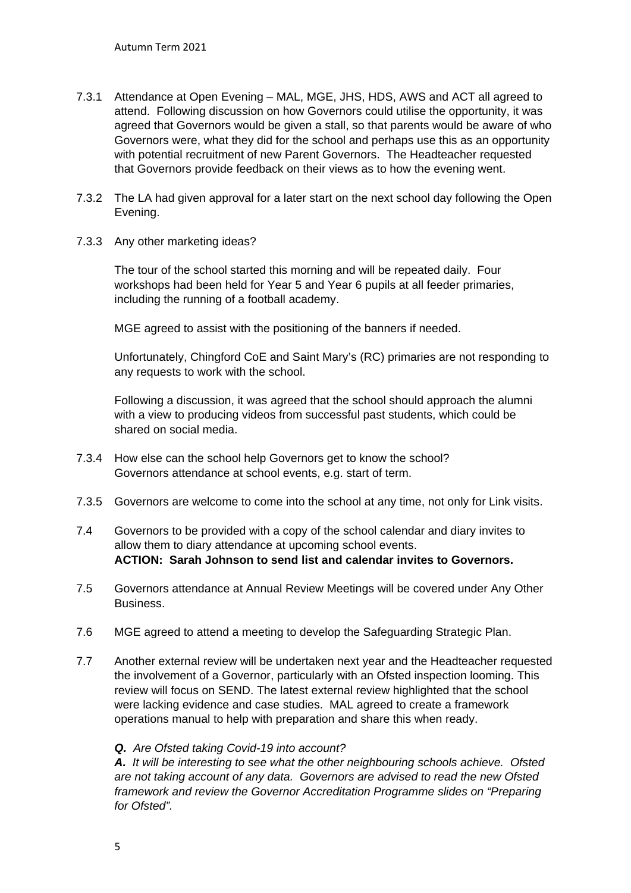- 7.3.1 Attendance at Open Evening MAL, MGE, JHS, HDS, AWS and ACT all agreed to attend. Following discussion on how Governors could utilise the opportunity, it was agreed that Governors would be given a stall, so that parents would be aware of who Governors were, what they did for the school and perhaps use this as an opportunity with potential recruitment of new Parent Governors. The Headteacher requested that Governors provide feedback on their views as to how the evening went.
- 7.3.2 The LA had given approval for a later start on the next school day following the Open Evening.
- 7.3.3 Any other marketing ideas?

The tour of the school started this morning and will be repeated daily. Four workshops had been held for Year 5 and Year 6 pupils at all feeder primaries, including the running of a football academy.

MGE agreed to assist with the positioning of the banners if needed.

Unfortunately, Chingford CoE and Saint Mary's (RC) primaries are not responding to any requests to work with the school.

Following a discussion, it was agreed that the school should approach the alumni with a view to producing videos from successful past students, which could be shared on social media.

- 7.3.4 How else can the school help Governors get to know the school? Governors attendance at school events, e.g. start of term.
- 7.3.5 Governors are welcome to come into the school at any time, not only for Link visits.
- 7.4 Governors to be provided with a copy of the school calendar and diary invites to allow them to diary attendance at upcoming school events. **ACTION: Sarah Johnson to send list and calendar invites to Governors.**
- 7.5 Governors attendance at Annual Review Meetings will be covered under Any Other Business.
- 7.6 MGE agreed to attend a meeting to develop the Safeguarding Strategic Plan.
- 7.7 Another external review will be undertaken next year and the Headteacher requested the involvement of a Governor, particularly with an Ofsted inspection looming. This review will focus on SEND. The latest external review highlighted that the school were lacking evidence and case studies. MAL agreed to create a framework operations manual to help with preparation and share this when ready.

#### *Q. Are Ofsted taking Covid-19 into account?*

*A. It will be interesting to see what the other neighbouring schools achieve. Ofsted are not taking account of any data. Governors are advised to read the new Ofsted framework and review the Governor Accreditation Programme slides on "Preparing for Ofsted".*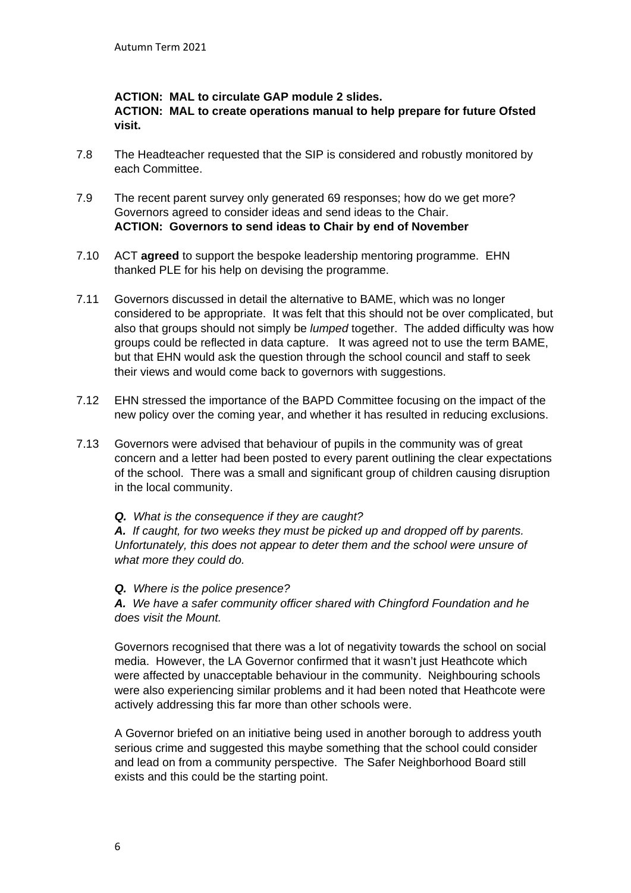# **ACTION: MAL to circulate GAP module 2 slides.**

**ACTION: MAL to create operations manual to help prepare for future Ofsted visit.**

- 7.8 The Headteacher requested that the SIP is considered and robustly monitored by each Committee.
- 7.9 The recent parent survey only generated 69 responses; how do we get more? Governors agreed to consider ideas and send ideas to the Chair. **ACTION: Governors to send ideas to Chair by end of November**
- 7.10 ACT **agreed** to support the bespoke leadership mentoring programme. EHN thanked PLE for his help on devising the programme.
- 7.11 Governors discussed in detail the alternative to BAME, which was no longer considered to be appropriate. It was felt that this should not be over complicated, but also that groups should not simply be *lumped* together. The added difficulty was how groups could be reflected in data capture. It was agreed not to use the term BAME, but that EHN would ask the question through the school council and staff to seek their views and would come back to governors with suggestions.
- 7.12 EHN stressed the importance of the BAPD Committee focusing on the impact of the new policy over the coming year, and whether it has resulted in reducing exclusions.
- 7.13 Governors were advised that behaviour of pupils in the community was of great concern and a letter had been posted to every parent outlining the clear expectations of the school. There was a small and significant group of children causing disruption in the local community.

## *Q. What is the consequence if they are caught?*

*A. If caught, for two weeks they must be picked up and dropped off by parents. Unfortunately, this does not appear to deter them and the school were unsure of what more they could do.* 

## *Q. Where is the police presence?*

*A. We have a safer community officer shared with Chingford Foundation and he does visit the Mount.* 

Governors recognised that there was a lot of negativity towards the school on social media. However, the LA Governor confirmed that it wasn't just Heathcote which were affected by unacceptable behaviour in the community. Neighbouring schools were also experiencing similar problems and it had been noted that Heathcote were actively addressing this far more than other schools were.

A Governor briefed on an initiative being used in another borough to address youth serious crime and suggested this maybe something that the school could consider and lead on from a community perspective. The Safer Neighborhood Board still exists and this could be the starting point.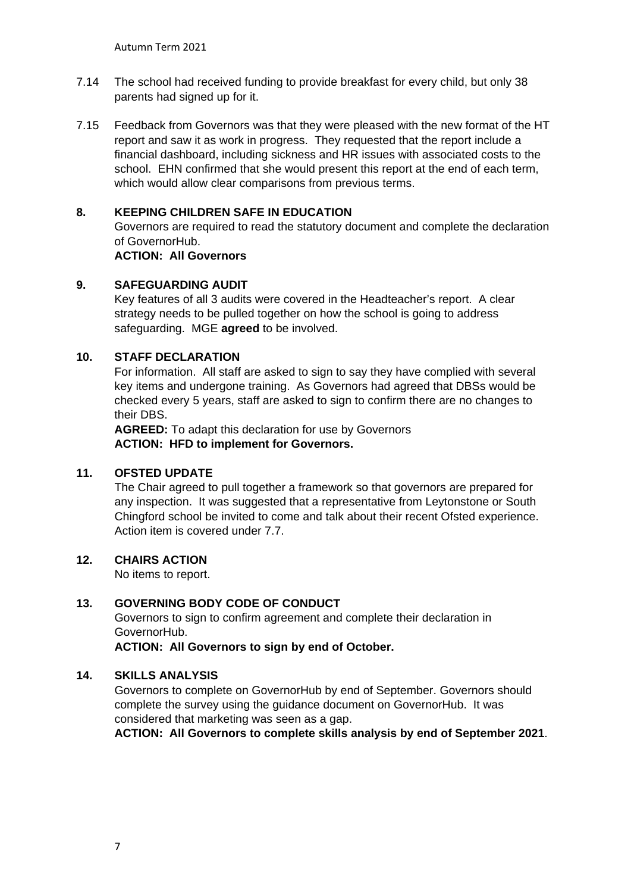- 7.14 The school had received funding to provide breakfast for every child, but only 38 parents had signed up for it.
- 7.15 Feedback from Governors was that they were pleased with the new format of the HT report and saw it as work in progress. They requested that the report include a financial dashboard, including sickness and HR issues with associated costs to the school. EHN confirmed that she would present this report at the end of each term, which would allow clear comparisons from previous terms.

# **8. KEEPING CHILDREN SAFE IN EDUCATION**

Governors are required to read the statutory document and complete the declaration of GovernorHub.

#### **ACTION: All Governors**

#### **9. SAFEGUARDING AUDIT**

Key features of all 3 audits were covered in the Headteacher's report. A clear strategy needs to be pulled together on how the school is going to address safeguarding. MGE **agreed** to be involved.

## **10. STAFF DECLARATION**

For information. All staff are asked to sign to say they have complied with several key items and undergone training. As Governors had agreed that DBSs would be checked every 5 years, staff are asked to sign to confirm there are no changes to their DBS.

**AGREED:** To adapt this declaration for use by Governors **ACTION: HFD to implement for Governors.**

# **11. OFSTED UPDATE**

The Chair agreed to pull together a framework so that governors are prepared for any inspection. It was suggested that a representative from Leytonstone or South Chingford school be invited to come and talk about their recent Ofsted experience. Action item is covered under 7.7.

## **12. CHAIRS ACTION**

No items to report.

## **13. GOVERNING BODY CODE OF CONDUCT**

Governors to sign to confirm agreement and complete their declaration in GovernorHub.

**ACTION: All Governors to sign by end of October.**

#### **14. SKILLS ANALYSIS**

Governors to complete on GovernorHub by end of September. Governors should complete the survey using the guidance document on GovernorHub. It was considered that marketing was seen as a gap.

**ACTION: All Governors to complete skills analysis by end of September 2021**.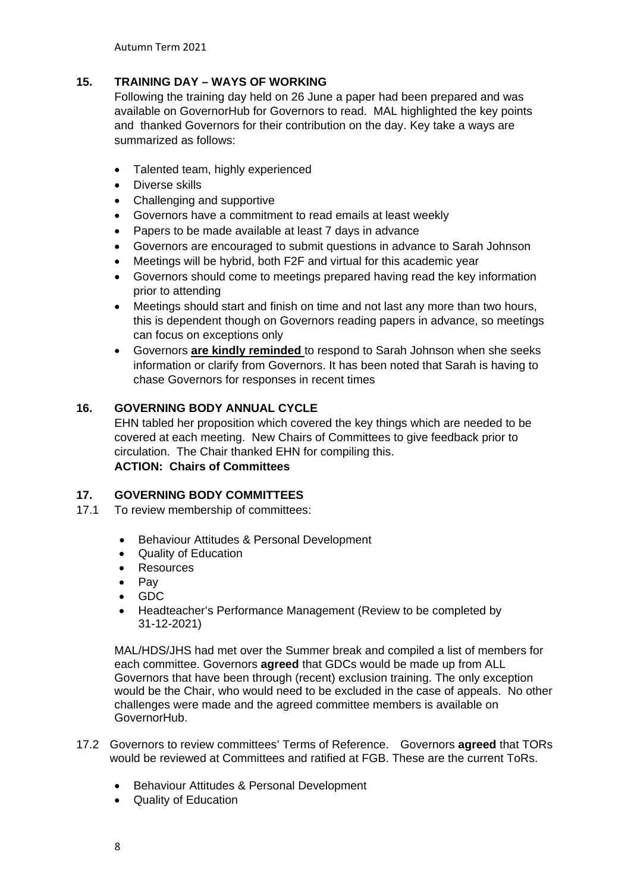Autumn Term 2021

# **15. TRAINING DAY – WAYS OF WORKING**

Following the training day held on 26 June a paper had been prepared and was available on GovernorHub for Governors to read. MAL highlighted the key points and thanked Governors for their contribution on the day. Key take a ways are summarized as follows:

- Talented team, highly experienced
- Diverse skills
- Challenging and supportive
- Governors have a commitment to read emails at least weekly
- Papers to be made available at least 7 days in advance
- Governors are encouraged to submit questions in advance to Sarah Johnson
- Meetings will be hybrid, both F2F and virtual for this academic year
- Governors should come to meetings prepared having read the key information prior to attending
- Meetings should start and finish on time and not last any more than two hours, this is dependent though on Governors reading papers in advance, so meetings can focus on exceptions only
- Governors **are kindly reminded** to respond to Sarah Johnson when she seeks information or clarify from Governors. It has been noted that Sarah is having to chase Governors for responses in recent times

# **16. GOVERNING BODY ANNUAL CYCLE**

EHN tabled her proposition which covered the key things which are needed to be covered at each meeting. New Chairs of Committees to give feedback prior to circulation. The Chair thanked EHN for compiling this. **ACTION: Chairs of Committees**

## **17. GOVERNING BODY COMMITTEES**

- 17.1 To review membership of committees:
	- Behaviour Attitudes & Personal Development
	- Quality of Education
	- Resources
	- Pay
	- GDC
	- Headteacher's Performance Management (Review to be completed by 31-12-2021)

MAL/HDS/JHS had met over the Summer break and compiled a list of members for each committee. Governors **agreed** that GDCs would be made up from ALL Governors that have been through (recent) exclusion training. The only exception would be the Chair, who would need to be excluded in the case of appeals. No other challenges were made and the agreed committee members is available on GovernorHub.

- 17.2 Governors to review committees' Terms of Reference. Governors **agreed** that TORs would be reviewed at Committees and ratified at FGB. These are the current ToRs.
	- Behaviour Attitudes & Personal Development
	- Quality of Education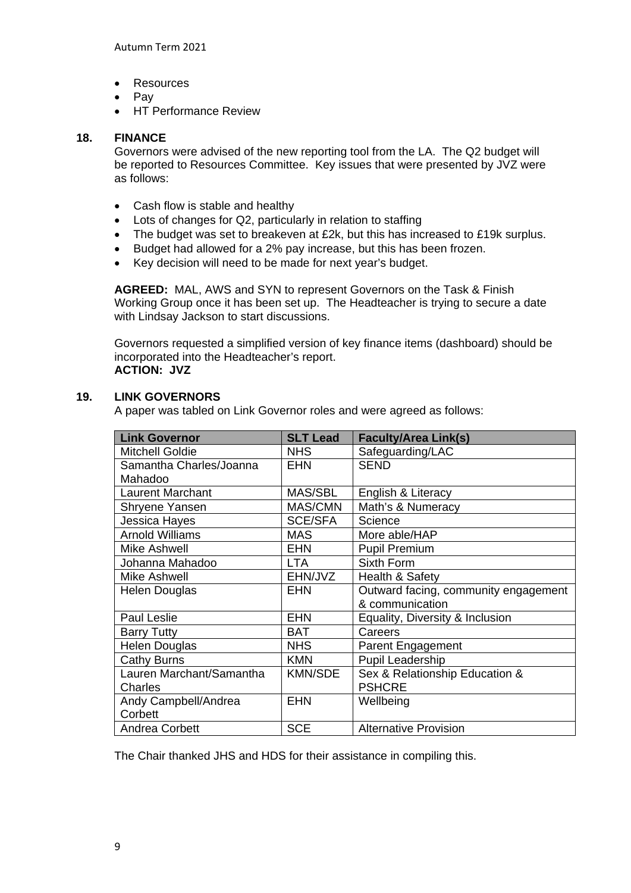- Resources
- Pay
- HT Performance Review

# **18. FINANCE**

Governors were advised of the new reporting tool from the LA. The Q2 budget will be reported to Resources Committee. Key issues that were presented by JVZ were as follows:

- Cash flow is stable and healthy
- Lots of changes for Q2, particularly in relation to staffing
- The budget was set to breakeven at £2k, but this has increased to £19k surplus.
- Budget had allowed for a 2% pay increase, but this has been frozen.
- Key decision will need to be made for next year's budget.

**AGREED:** MAL, AWS and SYN to represent Governors on the Task & Finish Working Group once it has been set up. The Headteacher is trying to secure a date with Lindsay Jackson to start discussions.

Governors requested a simplified version of key finance items (dashboard) should be incorporated into the Headteacher's report. **ACTION: JVZ**

# **19. LINK GOVERNORS**

A paper was tabled on Link Governor roles and were agreed as follows:

| <b>Link Governor</b>     | <b>SLT Lead</b> | <b>Faculty/Area Link(s)</b>          |
|--------------------------|-----------------|--------------------------------------|
| <b>Mitchell Goldie</b>   | <b>NHS</b>      | Safeguarding/LAC                     |
| Samantha Charles/Joanna  | <b>EHN</b>      | <b>SEND</b>                          |
| Mahadoo                  |                 |                                      |
| <b>Laurent Marchant</b>  | MAS/SBL         | English & Literacy                   |
| Shryene Yansen           | MAS/CMN         | Math's & Numeracy                    |
| Jessica Hayes            | <b>SCE/SFA</b>  | Science                              |
| <b>Arnold Williams</b>   | <b>MAS</b>      | More able/HAP                        |
| Mike Ashwell             | <b>EHN</b>      | <b>Pupil Premium</b>                 |
| Johanna Mahadoo          | LTA.            | Sixth Form                           |
| Mike Ashwell             | EHN/JVZ         | Health & Safety                      |
| <b>Helen Douglas</b>     | <b>EHN</b>      | Outward facing, community engagement |
|                          |                 | & communication                      |
| Paul Leslie              | <b>EHN</b>      | Equality, Diversity & Inclusion      |
| <b>Barry Tutty</b>       | <b>BAT</b>      | Careers                              |
| Helen Douglas            | <b>NHS</b>      | Parent Engagement                    |
| Cathy Burns              | <b>KMN</b>      | Pupil Leadership                     |
| Lauren Marchant/Samantha | <b>KMN/SDE</b>  | Sex & Relationship Education &       |
| Charles                  |                 | <b>PSHCRE</b>                        |
| Andy Campbell/Andrea     | <b>EHN</b>      | Wellbeing                            |
| Corbett                  |                 |                                      |
| Andrea Corbett           | <b>SCE</b>      | <b>Alternative Provision</b>         |

The Chair thanked JHS and HDS for their assistance in compiling this.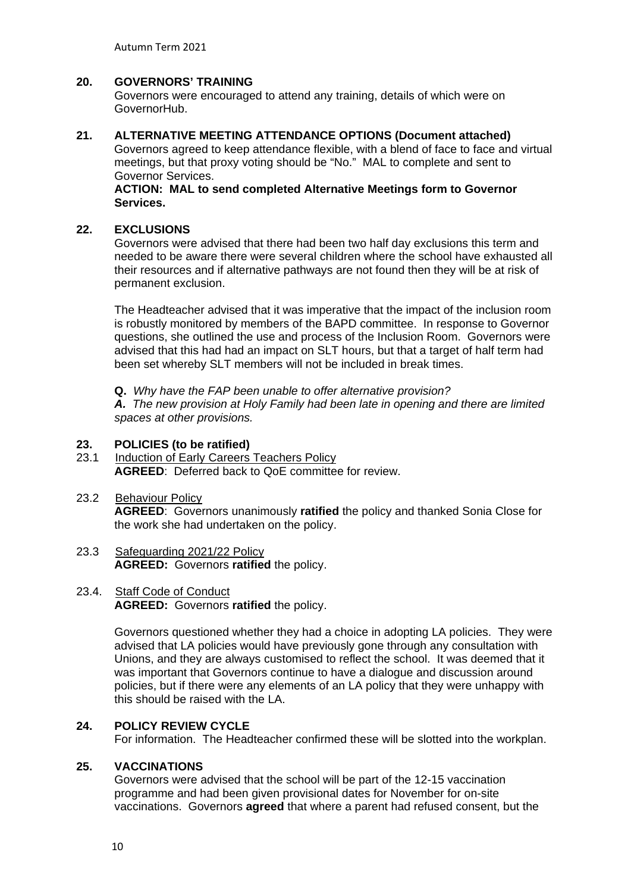# **20. GOVERNORS' TRAINING**

Governors were encouraged to attend any training, details of which were on GovernorHub.

#### **21. ALTERNATIVE MEETING ATTENDANCE OPTIONS (Document attached)**

Governors agreed to keep attendance flexible, with a blend of face to face and virtual meetings, but that proxy voting should be "No." MAL to complete and sent to Governor Services.

#### **ACTION: MAL to send completed Alternative Meetings form to Governor Services.**

#### **22. EXCLUSIONS**

Governors were advised that there had been two half day exclusions this term and needed to be aware there were several children where the school have exhausted all their resources and if alternative pathways are not found then they will be at risk of permanent exclusion.

The Headteacher advised that it was imperative that the impact of the inclusion room is robustly monitored by members of the BAPD committee. In response to Governor questions, she outlined the use and process of the Inclusion Room. Governors were advised that this had had an impact on SLT hours, but that a target of half term had been set whereby SLT members will not be included in break times.

**Q.** *Why have the FAP been unable to offer alternative provision?*

*A. The new provision at Holy Family had been late in opening and there are limited spaces at other provisions.* 

# **23. POLICIES (to be ratified)**

Induction of Early Careers Teachers Policy **AGREED**: Deferred back to QoE committee for review.

#### 23.2 Behaviour Policy

**AGREED**: Governors unanimously **ratified** the policy and thanked Sonia Close for the work she had undertaken on the policy.

#### 23.3 Safeguarding 2021/22 Policy **AGREED:** Governors **ratified** the policy.

#### 23.4. Staff Code of Conduct **AGREED:** Governors **ratified** the policy.

Governors questioned whether they had a choice in adopting LA policies. They were advised that LA policies would have previously gone through any consultation with Unions, and they are always customised to reflect the school. It was deemed that it was important that Governors continue to have a dialogue and discussion around policies, but if there were any elements of an LA policy that they were unhappy with this should be raised with the LA.

## **24. POLICY REVIEW CYCLE**

For information. The Headteacher confirmed these will be slotted into the workplan.

#### **25. VACCINATIONS**

Governors were advised that the school will be part of the 12-15 vaccination programme and had been given provisional dates for November for on-site vaccinations. Governors **agreed** that where a parent had refused consent, but the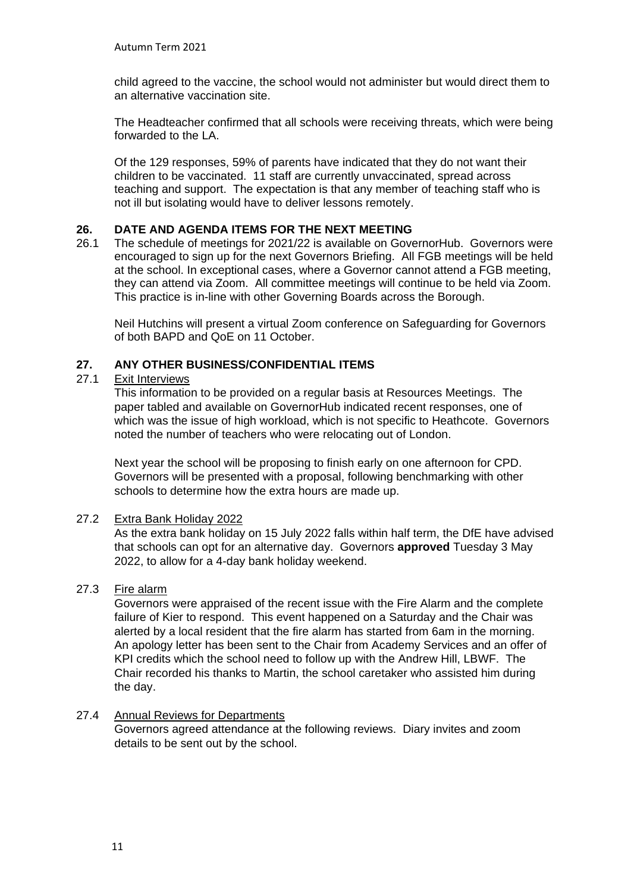child agreed to the vaccine, the school would not administer but would direct them to an alternative vaccination site.

The Headteacher confirmed that all schools were receiving threats, which were being forwarded to the LA.

Of the 129 responses, 59% of parents have indicated that they do not want their children to be vaccinated. 11 staff are currently unvaccinated, spread across teaching and support. The expectation is that any member of teaching staff who is not ill but isolating would have to deliver lessons remotely.

# **26. DATE AND AGENDA ITEMS FOR THE NEXT MEETING**

26.1 The schedule of meetings for 2021/22 is available on GovernorHub. Governors were encouraged to sign up for the next Governors Briefing. All FGB meetings will be held at the school. In exceptional cases, where a Governor cannot attend a FGB meeting, they can attend via Zoom. All committee meetings will continue to be held via Zoom. This practice is in-line with other Governing Boards across the Borough.

Neil Hutchins will present a virtual Zoom conference on Safeguarding for Governors of both BAPD and QoE on 11 October.

# **27. ANY OTHER BUSINESS/CONFIDENTIAL ITEMS**

## 27.1 Exit Interviews

This information to be provided on a regular basis at Resources Meetings. The paper tabled and available on GovernorHub indicated recent responses, one of which was the issue of high workload, which is not specific to Heathcote. Governors noted the number of teachers who were relocating out of London.

Next year the school will be proposing to finish early on one afternoon for CPD. Governors will be presented with a proposal, following benchmarking with other schools to determine how the extra hours are made up.

## 27.2 Extra Bank Holiday 2022

As the extra bank holiday on 15 July 2022 falls within half term, the DfE have advised that schools can opt for an alternative day. Governors **approved** Tuesday 3 May 2022, to allow for a 4-day bank holiday weekend.

# 27.3 Fire alarm

Governors were appraised of the recent issue with the Fire Alarm and the complete failure of Kier to respond. This event happened on a Saturday and the Chair was alerted by a local resident that the fire alarm has started from 6am in the morning. An apology letter has been sent to the Chair from Academy Services and an offer of KPI credits which the school need to follow up with the Andrew Hill, LBWF. The Chair recorded his thanks to Martin, the school caretaker who assisted him during the day.

## 27.4 Annual Reviews for Departments

Governors agreed attendance at the following reviews. Diary invites and zoom details to be sent out by the school.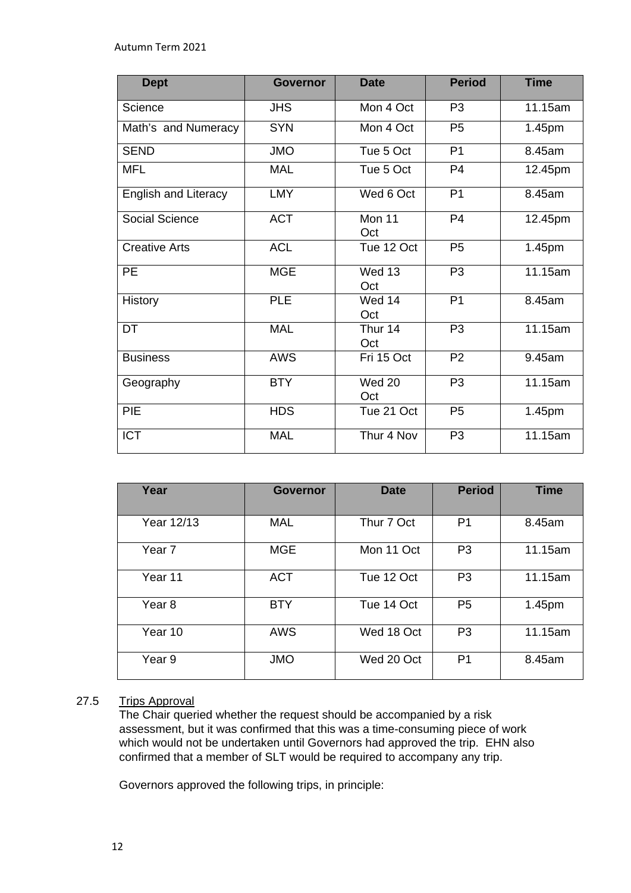| <b>Dept</b>                 | <b>Governor</b> | <b>Date</b>    | <b>Period</b>  | <b>Time</b> |
|-----------------------------|-----------------|----------------|----------------|-------------|
| Science                     | <b>JHS</b>      | Mon 4 Oct      | P <sub>3</sub> | 11.15am     |
| Math's and Numeracy         | <b>SYN</b>      | Mon 4 Oct      | P <sub>5</sub> | 1.45pm      |
| <b>SEND</b>                 | <b>JMO</b>      | Tue 5 Oct      | P <sub>1</sub> | 8.45am      |
| <b>MFL</b>                  | <b>MAL</b>      | Tue 5 Oct      | P <sub>4</sub> | 12.45pm     |
| <b>English and Literacy</b> | <b>LMY</b>      | Wed 6 Oct      | P <sub>1</sub> | 8.45am      |
| Social Science              | <b>ACT</b>      | Mon 11<br>Oct  | P <sub>4</sub> | 12.45pm     |
| <b>Creative Arts</b>        | <b>ACL</b>      | Tue 12 Oct     | P <sub>5</sub> | 1.45pm      |
| PE                          | <b>MGE</b>      | Wed 13<br>Oct  | P <sub>3</sub> | 11.15am     |
| <b>History</b>              | <b>PLE</b>      | Wed 14<br>Oct  | P <sub>1</sub> | 8.45am      |
| <b>DT</b>                   | <b>MAL</b>      | Thur 14<br>Oct | P <sub>3</sub> | 11.15am     |
| <b>Business</b>             | <b>AWS</b>      | Fri 15 Oct     | P <sub>2</sub> | 9.45am      |
| Geography                   | <b>BTY</b>      | Wed 20<br>Oct  | P <sub>3</sub> | 11.15am     |
| PIE                         | <b>HDS</b>      | Tue 21 Oct     | P <sub>5</sub> | 1.45pm      |
| <b>ICT</b>                  | <b>MAL</b>      | Thur 4 Nov     | P <sub>3</sub> | 11.15am     |

| Year              | <b>Governor</b> | <b>Date</b> | <b>Period</b>  | <b>Time</b> |
|-------------------|-----------------|-------------|----------------|-------------|
| Year 12/13        | MAL             | Thur 7 Oct  | P <sub>1</sub> | 8.45am      |
| Year <sub>7</sub> | <b>MGE</b>      | Mon 11 Oct  | P <sub>3</sub> | 11.15am     |
| Year 11           | <b>ACT</b>      | Tue 12 Oct  | P <sub>3</sub> | 11.15am     |
| Year <sub>8</sub> | <b>BTY</b>      | Tue 14 Oct  | P <sub>5</sub> | 1.45pm      |
| Year 10           | <b>AWS</b>      | Wed 18 Oct  | P <sub>3</sub> | 11.15am     |
| Year 9            | <b>JMO</b>      | Wed 20 Oct  | P <sub>1</sub> | 8.45am      |

# 27.5 Trips Approval

The Chair queried whether the request should be accompanied by a risk assessment, but it was confirmed that this was a time-consuming piece of work which would not be undertaken until Governors had approved the trip. EHN also confirmed that a member of SLT would be required to accompany any trip.

Governors approved the following trips, in principle: